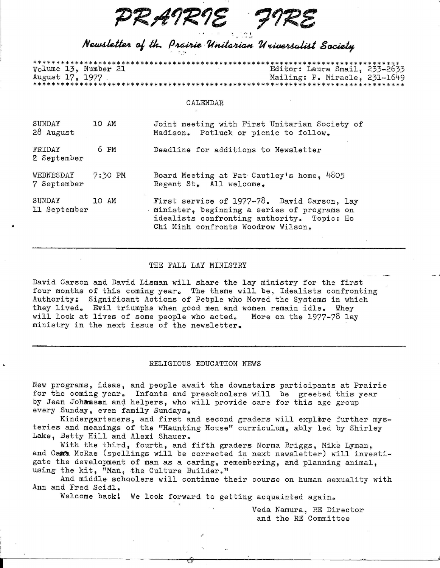*PRAIRIE<br>PRE<br>
Newsletter of the Prairie Unitarian Universalist Society* 

## Newsletter of the Prairie Unitarian Universalist Society

.·• I

|                 |  | Volume 13, Number 21 |  |  |  |  |  |  |  | Editor: Laura Smail, 233-2633 |
|-----------------|--|----------------------|--|--|--|--|--|--|--|-------------------------------|
| August 17, 1977 |  |                      |  |  |  |  |  |  |  | Mailing: P. Miracle, 231-1649 |
|                 |  |                      |  |  |  |  |  |  |  |                               |

## CALENDAR

| SUNDAY<br>28 August      | 10 AM   | Joint meeting with First Unitarian Society of<br>Madison. Potluck or picnic to follow.                                                                                         |
|--------------------------|---------|--------------------------------------------------------------------------------------------------------------------------------------------------------------------------------|
| FRIDAY<br>2 September    | 6 PM    | Deadline for additions to Newsletter                                                                                                                                           |
| WEDNESDAY<br>7 September | 7:30 PM | Board Meeting at Pat Cautley's home, 4805<br>Regent St. All welcome.                                                                                                           |
| SUNDAY<br>11 September   | 10 AM   | First service of 1977-78. David Carson, lay<br>minister, beginning a series of programs on<br>idealists confronting authority. Topic: Ho<br>Chi Minh confronts Woodrow Wilson. |

## THE FALL LAY MINISTRY

David Carson and David Lisman will share the lay ministry for the first four months of this coming year. The theme will be, Idealists confronting Authority: Significant Actions of Pebple who Moved the Systems in which they lived. Evil triumphs when good men and women remain idle. Whey will look at lives of some people who acted. More on the  $1977-78$  lay ministry in the next issue of the newsletter.

## RELIGIOUS EDUCATION NEWS

New programs, ideas, and people await the downstairs participants at Prairie for the coming year. Infants and preschoolers will be greeted this year by Jean Johansen and helpers, who will provide care for this age group every Sunday, even family Sundays.

Kindergarteners, and first and second graders will explore further mysteries and meanings of the "Haunting House" curriculum, ably led by Shirley Lake, Betty Hill and Alexi Shauer.

With the third, fourth, and fifth graders Norma Briggs, Mike Lyman, and Cama McRae (spellings will be corrected in next newsletter) will investigate the development of man as a caring, remembering, and planning animal, using the kit, "Man, the Culture Builder."

And middle schoolers will continue their course on human sexuality with Ann and Fred Seidl.

Welcome back! We look forward to getting acquainted again.

Veda Namura, *RE* Director and the RE Committee